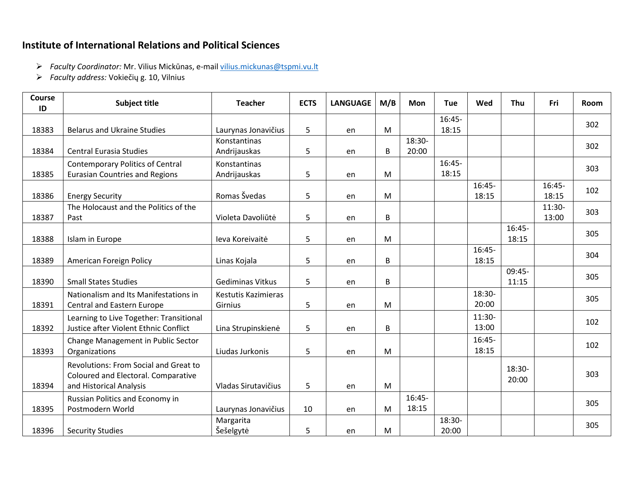## **Institute of International Relations and Political Sciences**

- ➢ *Faculty Coordinator:* Mr. Vilius Mickūnas, e-mai[l vilius.mickunas@tspmi.vu.lt](mailto:vilius.mickunas@tspmi.vu.lt)
- ➢ *Faculty address:* Vokiečių g. 10, Vilnius

| Course<br>ID | <b>Subject title</b>                                                                                    | <b>Teacher</b>                 | <b>ECTS</b> | <b>LANGUAGE</b> | M/B | <b>Mon</b>        | <b>Tue</b>        | Wed               | Thu               | Fri               | Room |
|--------------|---------------------------------------------------------------------------------------------------------|--------------------------------|-------------|-----------------|-----|-------------------|-------------------|-------------------|-------------------|-------------------|------|
| 18383        | <b>Belarus and Ukraine Studies</b>                                                                      | Laurynas Jonavičius            | 5           | en              | M   |                   | 16:45-<br>18:15   |                   |                   |                   | 302  |
| 18384        | <b>Central Eurasia Studies</b>                                                                          | Konstantinas<br>Andrijauskas   | 5           | en              | B   | 18:30-<br>20:00   |                   |                   |                   |                   | 302  |
| 18385        | <b>Contemporary Politics of Central</b><br><b>Eurasian Countries and Regions</b>                        | Konstantinas<br>Andrijauskas   | 5           | en              | M   |                   | $16:45-$<br>18:15 |                   |                   |                   | 303  |
| 18386        | <b>Energy Security</b>                                                                                  | Romas Švedas                   | 5           | en              | M   |                   |                   | $16:45-$<br>18:15 |                   | 16:45-<br>18:15   | 102  |
| 18387        | The Holocaust and the Politics of the<br>Past                                                           | Violeta Davoliūtė              | 5           | en              | B   |                   |                   |                   |                   | $11:30-$<br>13:00 | 303  |
| 18388        | Islam in Europe                                                                                         | leva Koreivaitė                | 5           | en              | M   |                   |                   |                   | $16:45-$<br>18:15 |                   | 305  |
| 18389        | American Foreign Policy                                                                                 | Linas Kojala                   | 5           | en              | B   |                   |                   | 16:45-<br>18:15   |                   |                   | 304  |
| 18390        | <b>Small States Studies</b>                                                                             | <b>Gediminas Vitkus</b>        | 5           | en              | B   |                   |                   |                   | $09:45-$<br>11:15 |                   | 305  |
| 18391        | Nationalism and Its Manifestations in<br><b>Central and Eastern Europe</b>                              | Kestutis Kazimieras<br>Girnius | 5           | en              | M   |                   |                   | 18:30-<br>20:00   |                   |                   | 305  |
| 18392        | Learning to Live Together: Transitional<br>Justice after Violent Ethnic Conflict                        | Lina Strupinskienė             | 5           | en              | B   |                   |                   | 11:30-<br>13:00   |                   |                   | 102  |
| 18393        | Change Management in Public Sector<br>Organizations                                                     | Liudas Jurkonis                | 5           | en              | M   |                   |                   | $16:45-$<br>18:15 |                   |                   | 102  |
| 18394        | Revolutions: From Social and Great to<br>Coloured and Electoral. Comparative<br>and Historical Analysis | Vladas Sirutavičius            | 5           | en              | M   |                   |                   |                   | 18:30-<br>20:00   |                   | 303  |
| 18395        | Russian Politics and Economy in<br>Postmodern World                                                     | Laurynas Jonavičius            | 10          | en              | M   | $16:45-$<br>18:15 |                   |                   |                   |                   | 305  |
| 18396        | <b>Security Studies</b>                                                                                 | Margarita<br>Šešelgytė         | 5           | en              | M   |                   | 18:30-<br>20:00   |                   |                   |                   | 305  |